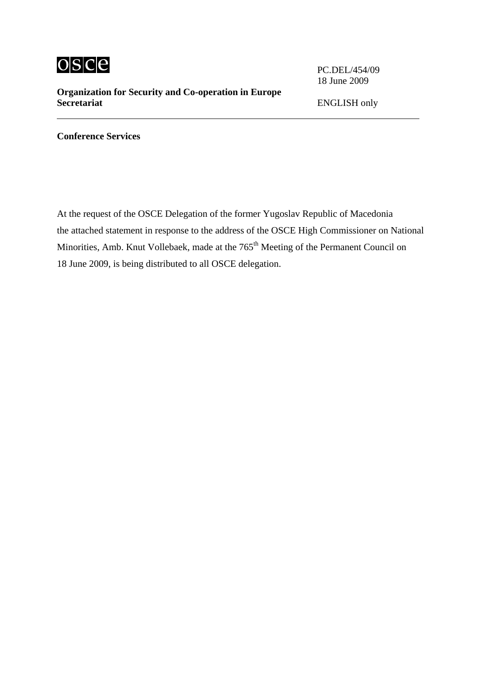

## **Organization for Security and Co-operation in Europe Secretariat** ENGLISH only

18 June 2009

**Conference Services**

At the request of the OSCE Delegation of the former Yugoslav Republic of Macedonia the attached statement in response to the address of the OSCE High Commissioner on National Minorities, Amb. Knut Vollebaek, made at the 765<sup>th</sup> Meeting of the Permanent Council on 18 June 2009, is being distributed to all OSCE delegation.